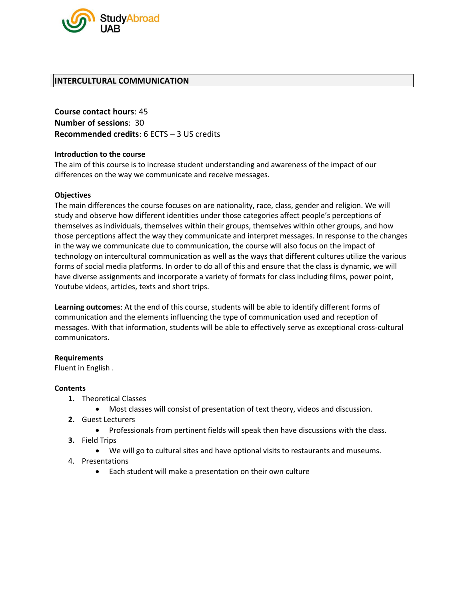

## **INTERCULTURAL COMMUNICATION**

**Course contact hours**: 45 **Number of sessions**: 30 **Recommended credits**: 6 ECTS – 3 US credits

### **Introduction to the course**

The aim of this course is to increase student understanding and awareness of the impact of our differences on the way we communicate and receive messages.

### **Objectives**

The main differences the course focuses on are nationality, race, class, gender and religion. We will study and observe how different identities under those categories affect people's perceptions of themselves as individuals, themselves within their groups, themselves within other groups, and how those perceptions affect the way they communicate and interpret messages. In response to the changes in the way we communicate due to communication, the course will also focus on the impact of technology on intercultural communication as well as the ways that different cultures utilize the various forms of social media platforms. In order to do all of this and ensure that the class is dynamic, we will have diverse assignments and incorporate a variety of formats for class including films, power point, Youtube videos, articles, texts and short trips.

**Learning outcomes**: At the end of this course, students will be able to identify different forms of communication and the elements influencing the type of communication used and reception of messages. With that information, students will be able to effectively serve as exceptional cross-cultural communicators.

#### **Requirements**

Fluent in English .

#### **Contents**

- **1.** Theoretical Classes
	- Most classes will consist of presentation of text theory, videos and discussion.
- **2.** Guest Lecturers
	- Professionals from pertinent fields will speak then have discussions with the class.
- **3.** Field Trips
	- We will go to cultural sites and have optional visits to restaurants and museums.
- 4. Presentations
	- Each student will make a presentation on their own culture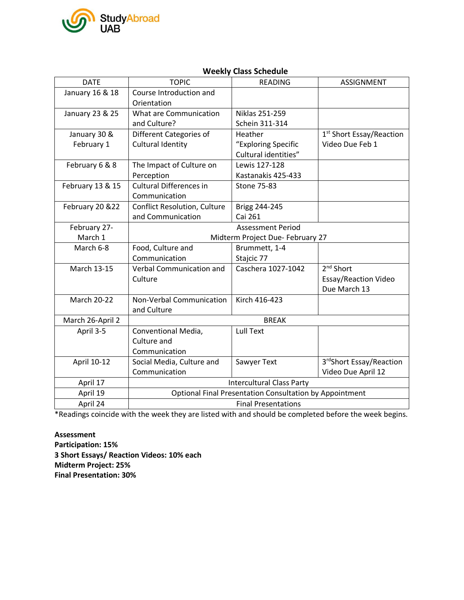

#### DATE TOPIC READING ASSIGNMENT January 16 & 18 | Course Introduction and **Orientation** January 23 & 25 What are Communication and Culture? Niklas 251-259 Schein 311-314 January 30 & February 1 Different Categories of Cultural Identity Heather "Exploring Specific Cultural identities" 1 st Short Essay/Reaction Video Due Feb 1 February 6 & 8  $\parallel$  The Impact of Culture on Perception Lewis 127-128 Kastanakis 425-433 February 13 & 15  $\mid$  Cultural Differences in Communication Stone 75-83 February 20 &22 | Conflict Resolution, Culture and Communication Brigg 244-245 Cai 261 February 27- March 1 Assessment Period Midterm Project Due- February 27 March 6-8 Food, Culture and Communication Brummett, 1-4 Stajcic 77 March 13-15 Verbal Communication and **Culture** Caschera 1027-1042 2<sup>nd</sup> Short Essay/Reaction Video Due March 13 March 20-22 | Non-Verbal Communication and Culture Kirch 416-423 March 26-April 2 | BREAK April 3-5 Conventional Media, Culture and Communication Lull Text April 10-12 | Social Media, Culture and Communication Sawyer Text 3rdShort Essay/Reaction Video Due April 12 April 17 Intercultural Class Party April 19 **Optional Final Presentation Consultation by Appointment** April 24 and 1 and 24 and 24 and 24 and 25 and 26 and 26 and 26 and 26 and 26 and 26 and 26 and 26 and 26 and 26 and 26 and 26 and 26 and 26 and 26 and 26 and 26 and 26 and 26 and 26 and 26 and 26 and 26 and 26 and 26 and

# **Weekly Class Schedule**

\*Readings coincide with the week they are listed with and should be completed before the week begins.

**Assessment Participation: 15% 3 Short Essays/ Reaction Videos: 10% each Midterm Project: 25% Final Presentation: 30%**